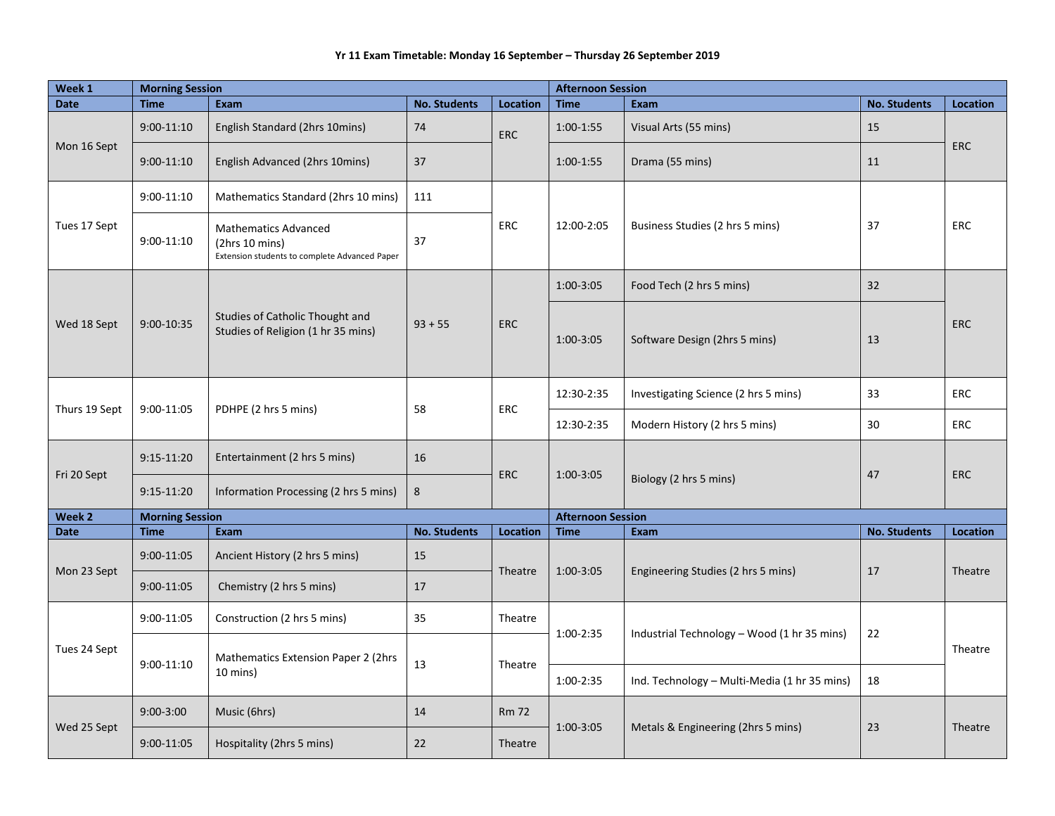## **Yr 11 Exam Timetable: Monday 16 September – Thursday 26 September 2019**

| Week 1        | <b>Morning Session</b> |                                                                                                |                     |                         | <b>Afternoon Session</b> |                                              |                     |                 |  |
|---------------|------------------------|------------------------------------------------------------------------------------------------|---------------------|-------------------------|--------------------------|----------------------------------------------|---------------------|-----------------|--|
| <b>Date</b>   | <b>Time</b>            | <b>Exam</b>                                                                                    | <b>No. Students</b> | <b>Location</b>         | <b>Time</b>              | <b>Exam</b>                                  | <b>No. Students</b> | <b>Location</b> |  |
| Mon 16 Sept   | $9:00-11:10$           | English Standard (2hrs 10mins)                                                                 | 74                  | <b>ERC</b>              | 1:00-1:55                | Visual Arts (55 mins)                        | 15                  | <b>ERC</b>      |  |
|               | $9:00-11:10$           | English Advanced (2hrs 10mins)                                                                 | 37                  |                         | 1:00-1:55                | Drama (55 mins)                              | 11                  |                 |  |
| Tues 17 Sept  | $9:00-11:10$           | Mathematics Standard (2hrs 10 mins)                                                            | 111                 | <b>ERC</b>              | 12:00-2:05               | Business Studies (2 hrs 5 mins)              | 37                  | <b>ERC</b>      |  |
|               | $9:00-11:10$           | <b>Mathematics Advanced</b><br>(2hrs 10 mins)<br>Extension students to complete Advanced Paper | 37                  |                         |                          |                                              |                     |                 |  |
| Wed 18 Sept   | 9:00-10:35             | Studies of Catholic Thought and<br>Studies of Religion (1 hr 35 mins)                          | $93 + 55$           | <b>ERC</b>              | $1:00-3:05$              | Food Tech (2 hrs 5 mins)                     | 32                  | <b>ERC</b>      |  |
|               |                        |                                                                                                |                     |                         | $1:00-3:05$              | Software Design (2hrs 5 mins)                | 13                  |                 |  |
| Thurs 19 Sept | 9:00-11:05             | PDHPE (2 hrs 5 mins)                                                                           | 58                  | <b>ERC</b>              | 12:30-2:35               | Investigating Science (2 hrs 5 mins)         | 33                  | <b>ERC</b>      |  |
|               |                        |                                                                                                |                     |                         | 12:30-2:35               | Modern History (2 hrs 5 mins)                | 30                  | <b>ERC</b>      |  |
| Fri 20 Sept   | $9:15-11:20$           | Entertainment (2 hrs 5 mins)                                                                   | 16                  | <b>ERC</b>              | 1:00-3:05                | Biology (2 hrs 5 mins)                       | 47                  | <b>ERC</b>      |  |
|               | $9:15-11:20$           | Information Processing (2 hrs 5 mins)                                                          | 8                   |                         |                          |                                              |                     |                 |  |
| Week 2        | <b>Morning Session</b> |                                                                                                |                     |                         | <b>Afternoon Session</b> |                                              |                     |                 |  |
| <b>Date</b>   | <b>Time</b>            | Exam                                                                                           | <b>No. Students</b> | Location                | <b>Time</b>              | <b>Exam</b>                                  | <b>No. Students</b> | <b>Location</b> |  |
| Mon 23 Sept   | 9:00-11:05             | Ancient History (2 hrs 5 mins)                                                                 | 15                  | Theatre                 | $1:00-3:05$              | Engineering Studies (2 hrs 5 mins)           | 17                  | Theatre         |  |
|               | 9:00-11:05             | Chemistry (2 hrs 5 mins)                                                                       | 17                  |                         |                          |                                              |                     |                 |  |
| Tues 24 Sept  | 9:00-11:05             | Construction (2 hrs 5 mins)                                                                    | 35                  | Theatre                 | $1:00-2:35$              | Industrial Technology - Wood (1 hr 35 mins)  | 22                  | Theatre         |  |
|               | 9:00-11:10             | Mathematics Extension Paper 2 (2hrs<br>10 mins)                                                | 13                  | Theatre                 |                          |                                              |                     |                 |  |
|               |                        |                                                                                                |                     |                         | 1:00-2:35                | Ind. Technology - Multi-Media (1 hr 35 mins) | 18                  |                 |  |
| Wed 25 Sept   | $9:00-3:00$            | Music (6hrs)                                                                                   | 14                  | <b>Rm 72</b><br>Theatre | $1:00-3:05$              | Metals & Engineering (2hrs 5 mins)           | 23                  | Theatre         |  |
|               | 9:00-11:05             | Hospitality (2hrs 5 mins)                                                                      | 22                  |                         |                          |                                              |                     |                 |  |